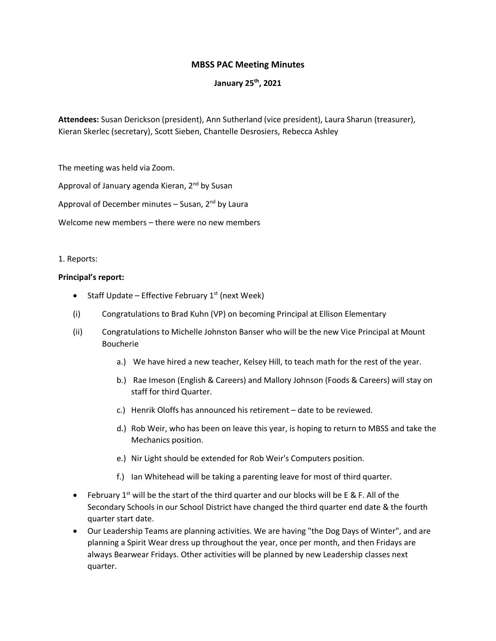## **MBSS PAC Meeting Minutes**

## **January 25th, 2021**

**Attendees:** Susan Derickson (president), Ann Sutherland (vice president), Laura Sharun (treasurer), Kieran Skerlec (secretary), Scott Sieben, Chantelle Desrosiers, Rebecca Ashley

The meeting was held via Zoom.

Approval of January agenda Kieran, 2<sup>nd</sup> by Susan

Approval of December minutes  $-$  Susan,  $2<sup>nd</sup>$  by Laura

Welcome new members – there were no new members

#### 1. Reports:

### **Principal's report:**

- Staff Update Effective February  $1<sup>st</sup>$  (next Week)
- (i) Congratulations to Brad Kuhn (VP) on becoming Principal at Ellison Elementary
- (ii) Congratulations to Michelle Johnston Banser who will be the new Vice Principal at Mount Boucherie
	- a.) We have hired a new teacher, Kelsey Hill, to teach math for the rest of the year.
	- b.) Rae Imeson (English & Careers) and Mallory Johnson (Foods & Careers) will stay on staff for third Quarter.
	- c.) Henrik Oloffs has announced his retirement date to be reviewed.
	- d.) Rob Weir, who has been on leave this year, is hoping to return to MBSS and take the Mechanics position.
	- e.) Nir Light should be extended for Rob Weir's Computers position.
	- f.) Ian Whitehead will be taking a parenting leave for most of third quarter.
- February 1<sup>st</sup> will be the start of the third quarter and our blocks will be E & F. All of the Secondary Schools in our School District have changed the third quarter end date & the fourth quarter start date.
- Our Leadership Teams are planning activities. We are having "the Dog Days of Winter", and are planning a Spirit Wear dress up throughout the year, once per month, and then Fridays are always Bearwear Fridays. Other activities will be planned by new Leadership classes next quarter.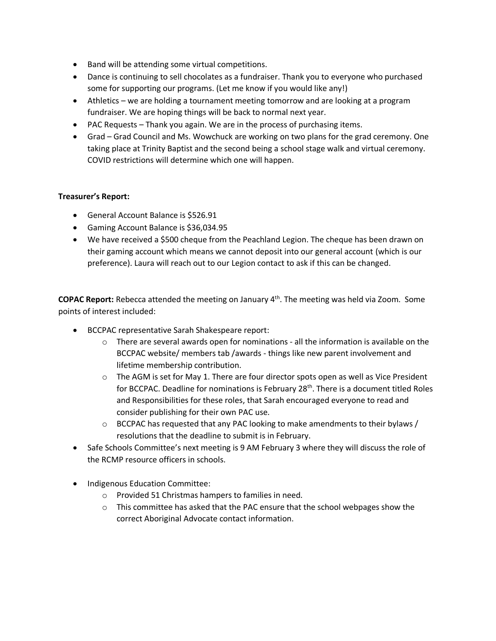- Band will be attending some virtual competitions.
- Dance is continuing to sell chocolates as a fundraiser. Thank you to everyone who purchased some for supporting our programs. (Let me know if you would like any!)
- Athletics we are holding a tournament meeting tomorrow and are looking at a program fundraiser. We are hoping things will be back to normal next year.
- PAC Requests Thank you again. We are in the process of purchasing items.
- Grad Grad Council and Ms. Wowchuck are working on two plans for the grad ceremony. One taking place at Trinity Baptist and the second being a school stage walk and virtual ceremony. COVID restrictions will determine which one will happen.

# **Treasurer's Report:**

- General Account Balance is \$526.91
- Gaming Account Balance is \$36,034.95
- We have received a \$500 cheque from the Peachland Legion. The cheque has been drawn on their gaming account which means we cannot deposit into our general account (which is our preference). Laura will reach out to our Legion contact to ask if this can be changed.

**COPAC Report:** Rebecca attended the meeting on January 4th. The meeting was held via Zoom. Some points of interest included:

- BCCPAC representative Sarah Shakespeare report:
	- $\circ$  There are several awards open for nominations all the information is available on the BCCPAC website/ members tab /awards - things like new parent involvement and lifetime membership contribution.
	- o The AGM is set for May 1. There are four director spots open as well as Vice President for BCCPAC. Deadline for nominations is February  $28<sup>th</sup>$ . There is a document titled Roles and Responsibilities for these roles, that Sarah encouraged everyone to read and consider publishing for their own PAC use.
	- $\circ$  BCCPAC has requested that any PAC looking to make amendments to their bylaws / resolutions that the deadline to submit is in February.
- Safe Schools Committee's next meeting is 9 AM February 3 where they will discuss the role of the RCMP resource officers in schools.
- Indigenous Education Committee:
	- o Provided 51 Christmas hampers to families in need.
	- $\circ$  This committee has asked that the PAC ensure that the school webpages show the correct Aboriginal Advocate contact information.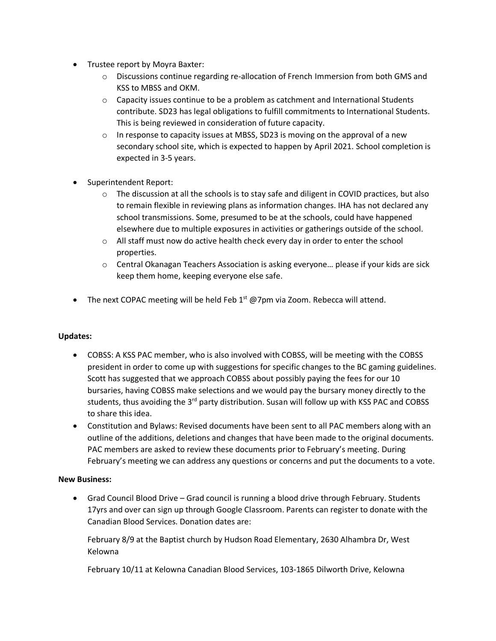- Trustee report by Moyra Baxter:
	- $\circ$  Discussions continue regarding re-allocation of French Immersion from both GMS and KSS to MBSS and OKM.
	- $\circ$  Capacity issues continue to be a problem as catchment and International Students contribute. SD23 has legal obligations to fulfill commitments to International Students. This is being reviewed in consideration of future capacity.
	- $\circ$  In response to capacity issues at MBSS, SD23 is moving on the approval of a new secondary school site, which is expected to happen by April 2021. School completion is expected in 3-5 years.
- Superintendent Report:
	- $\circ$  The discussion at all the schools is to stay safe and diligent in COVID practices, but also to remain flexible in reviewing plans as information changes. IHA has not declared any school transmissions. Some, presumed to be at the schools, could have happened elsewhere due to multiple exposures in activities or gatherings outside of the school.
	- $\circ$  All staff must now do active health check every day in order to enter the school properties.
	- $\circ$  Central Okanagan Teachers Association is asking everyone... please if your kids are sick keep them home, keeping everyone else safe.
- The next COPAC meeting will be held Feb  $1<sup>st</sup>$  @7pm via Zoom. Rebecca will attend.

## **Updates:**

- COBSS: A KSS PAC member, who is also involved with COBSS, will be meeting with the COBSS president in order to come up with suggestions for specific changes to the BC gaming guidelines. Scott has suggested that we approach COBSS about possibly paying the fees for our 10 bursaries, having COBSS make selections and we would pay the bursary money directly to the students, thus avoiding the 3<sup>rd</sup> party distribution. Susan will follow up with KSS PAC and COBSS to share this idea.
- Constitution and Bylaws: Revised documents have been sent to all PAC members along with an outline of the additions, deletions and changes that have been made to the original documents. PAC members are asked to review these documents prior to February's meeting. During February's meeting we can address any questions or concerns and put the documents to a vote.

## **New Business:**

• Grad Council Blood Drive – Grad council is running a blood drive through February. Students 17yrs and over can sign up through Google Classroom. Parents can register to donate with the Canadian Blood Services. Donation dates are:

February 8/9 at the Baptist church by Hudson Road Elementary, 2630 Alhambra Dr, West Kelowna

February 10/11 at Kelowna Canadian Blood Services, 103-1865 Dilworth Drive, Kelowna